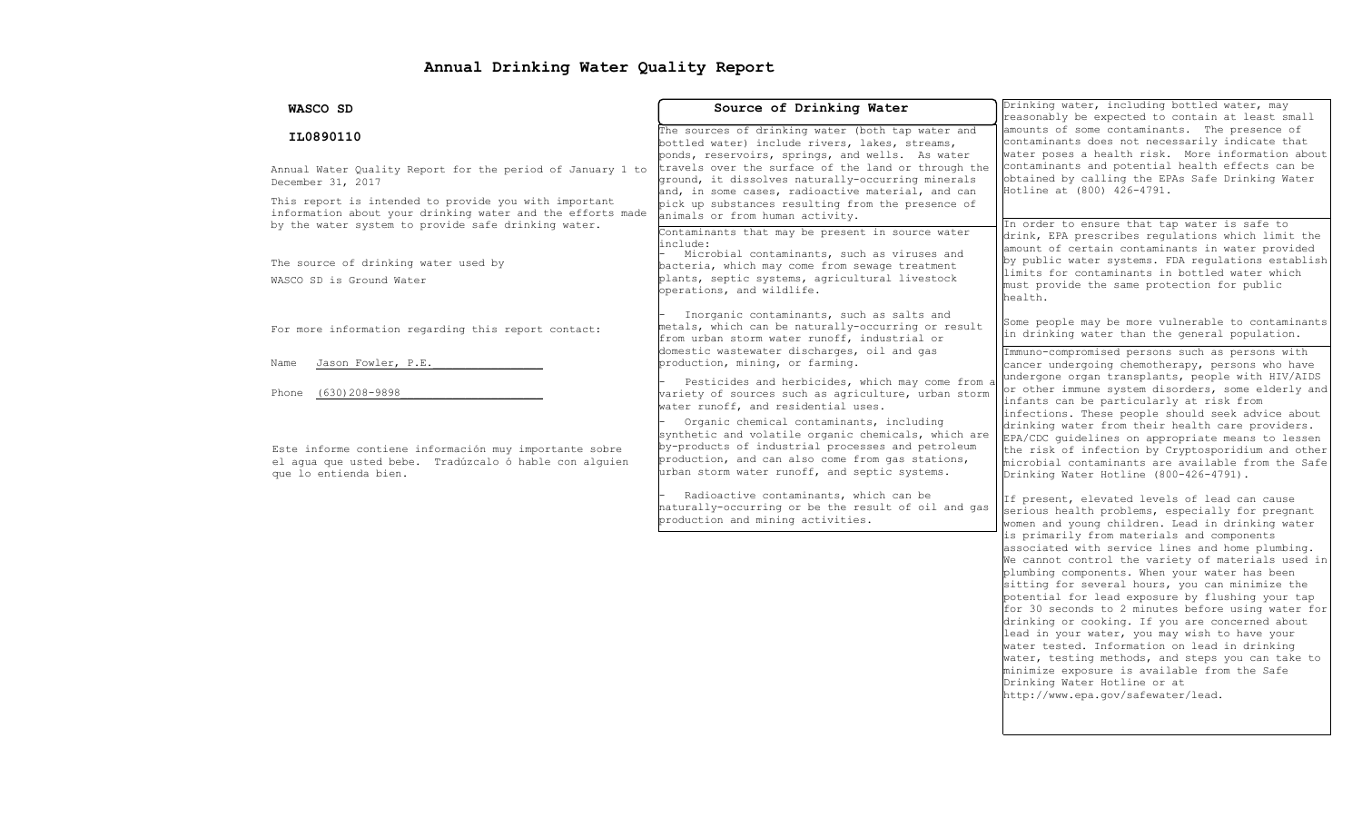# Annual Drinking Water Quality Report

| WASCO SD                                                                                                                                                                   | Source of Drinking Water                                                                                                                                                                                                                                  | Drinking water, including bottled water, may<br>reasonably be expected to contain at least small                                                                                                                                                                                                                                                                                                                                                                        |  |  |
|----------------------------------------------------------------------------------------------------------------------------------------------------------------------------|-----------------------------------------------------------------------------------------------------------------------------------------------------------------------------------------------------------------------------------------------------------|-------------------------------------------------------------------------------------------------------------------------------------------------------------------------------------------------------------------------------------------------------------------------------------------------------------------------------------------------------------------------------------------------------------------------------------------------------------------------|--|--|
| IL0890110                                                                                                                                                                  | The sources of drinking water (both tap water and<br>bottled water) include rivers, lakes, streams,<br>ponds, reservoirs, springs, and wells. As water                                                                                                    | amounts of some contaminants. The presence of<br>contaminants does not necessarily indicate that<br>water poses a health risk. More information about                                                                                                                                                                                                                                                                                                                   |  |  |
| Annual Water Quality Report for the period of January 1 to<br>December 31, 2017                                                                                            | travels over the surface of the land or through the<br>ground, it dissolves naturally-occurring minerals<br>and, in some cases, radioactive material, and can                                                                                             | contaminants and potential health effects can be<br>obtained by calling the EPAs Safe Drinking Water<br>Hotline at (800) 426-4791.                                                                                                                                                                                                                                                                                                                                      |  |  |
| This report is intended to provide you with important<br>information about your drinking water and the efforts made<br>by the water system to provide safe drinking water. | pick up substances resulting from the presence of<br>animals or from human activity.<br>Contaminants that may be present in source water                                                                                                                  | In order to ensure that tap water is safe to<br>drink, EPA prescribes regulations which limit the                                                                                                                                                                                                                                                                                                                                                                       |  |  |
| The source of drinking water used by<br>WASCO SD is Ground Water                                                                                                           | include:<br>Microbial contaminants, such as viruses and<br>bacteria, which may come from sewage treatment<br>plants, septic systems, agricultural livestock<br>operations, and wildlife.                                                                  | amount of certain contaminants in water provided<br>by public water systems. FDA requlations establish<br>limits for contaminants in bottled water which<br>must provide the same protection for public<br>health.                                                                                                                                                                                                                                                      |  |  |
| For more information regarding this report contact:                                                                                                                        | Inorganic contaminants, such as salts and<br>metals, which can be naturally-occurring or result<br>from urban storm water runoff, industrial or                                                                                                           | Some people may be more vulnerable to contaminants<br>in drinking water than the general population.                                                                                                                                                                                                                                                                                                                                                                    |  |  |
| Jason Fowler, P.E.<br>Name                                                                                                                                                 | domestic wastewater discharges, oil and gas<br>production, mining, or farming.                                                                                                                                                                            | Immuno-compromised persons such as persons with<br>cancer undergoing chemotherapy, persons who have                                                                                                                                                                                                                                                                                                                                                                     |  |  |
| (630) 208-9898<br>Phone                                                                                                                                                    | Pesticides and herbicides, which may come from<br>variety of sources such as agriculture, urban storm<br>water runoff, and residential uses.                                                                                                              | undergone organ transplants, people with HIV/AIDS<br>or other immune system disorders, some elderly and<br>infants can be particularly at risk from<br>infections. These people should seek advice about<br>drinking water from their health care providers.<br>EPA/CDC quidelines on appropriate means to lessen<br>the risk of infection by Cryptosporidium and other<br>microbial contaminants are available from the Safe<br>Drinking Water Hotline (800-426-4791). |  |  |
| Este informe contiene información muy importante sobre<br>el aqua que usted bebe. Tradúzcalo ó hable con alquien<br>que lo entienda bien.                                  | Organic chemical contaminants, including<br>synthetic and volatile organic chemicals, which are<br>by-products of industrial processes and petroleum<br>production, and can also come from gas stations,<br>urban storm water runoff, and septic systems. |                                                                                                                                                                                                                                                                                                                                                                                                                                                                         |  |  |
|                                                                                                                                                                            | Radioactive contaminants, which can be<br>naturally-occurring or be the result of oil and gas<br>production and mining activities.                                                                                                                        | If present, elevated levels of lead can cause<br>serious health problems, especially for pregnant<br>women and young children. Lead in drinking water                                                                                                                                                                                                                                                                                                                   |  |  |
|                                                                                                                                                                            |                                                                                                                                                                                                                                                           | is primarily from materials and components<br>associated with service lines and home plumbing.<br>We cannot control the variety of materials used in<br>plumbing components. When your water has been<br>sitting for several hours, you can minimize the<br>potential for lead exposure by flushing your tap                                                                                                                                                            |  |  |

drinking or cooking. If you are concerned about lead in your water, you may wish to have your water tested. Information on lead in drinking water, testing methods, and steps you can take to minimize exposure is available from the Safe Drinking Water Hotline or at http://www.epa.gov/safewater/lead.

for 30 seconds to 2 minutes before using water for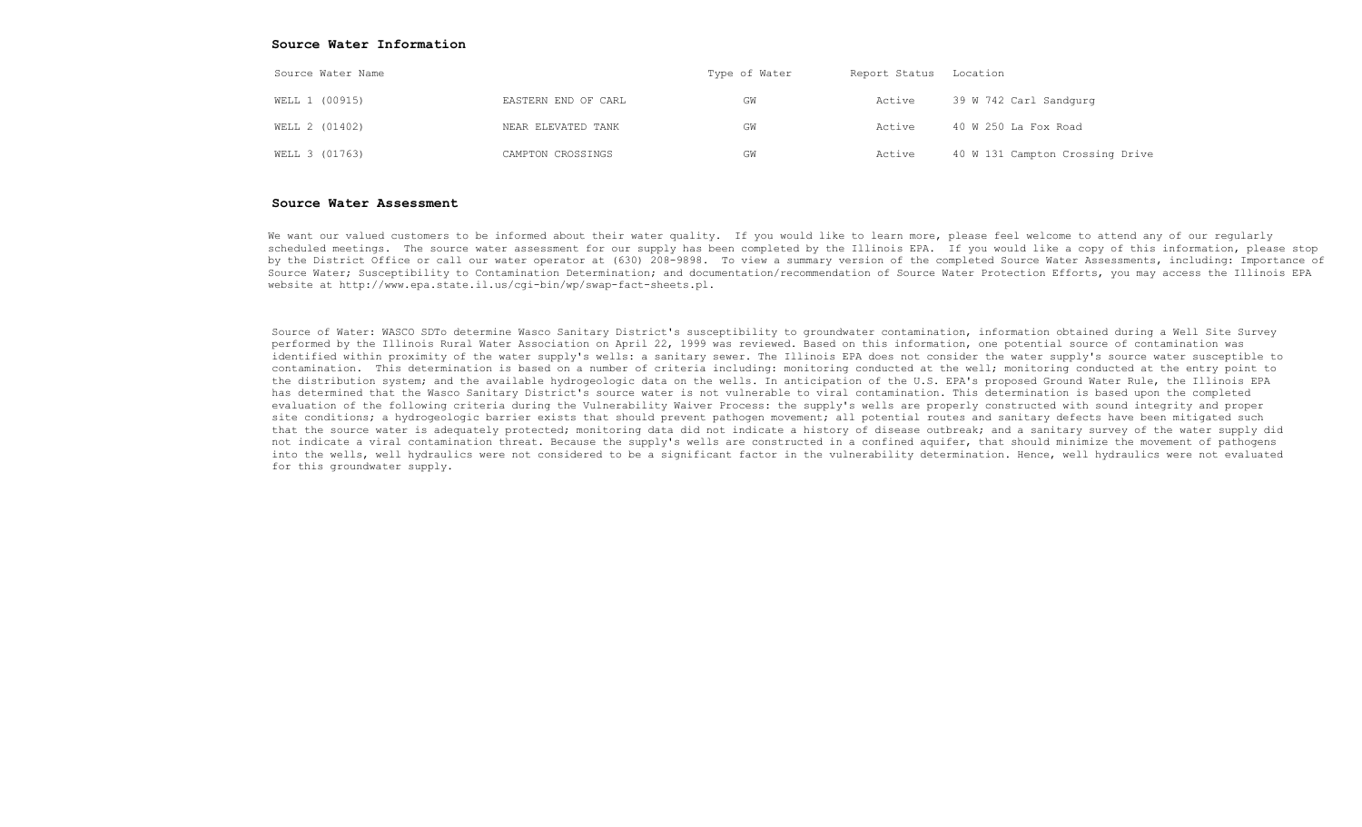#### Source Water Information

| Source Water Name |                     | Type of Water | Report Status Location |                                 |
|-------------------|---------------------|---------------|------------------------|---------------------------------|
| WELL 1 (00915)    | EASTERN END OF CARL | GM            | Active                 | 39 W 742 Carl Sandqurq          |
| WELL 2 (01402)    | NEAR ELEVATED TANK  | GW            | Active                 | 40 W 250 La Fox Road            |
| WELL 3 (01763)    | CAMPTON CROSSINGS   | GW            | Active                 | 40 W 131 Campton Crossing Drive |

#### Source Water Assessment

We want our valued customers to be informed about their water quality. If you would like to learn more, please feel welcome to attend any of our reqularly scheduled meetings. The source water assessment for our supply has been completed by the Illinois EPA. If you would like a copy of this information, please stop by the District Office or call our water operator at (630) 208-9898. To view a summary version of the completed Source Water Assessments, including: Importance of Source Water; Susceptibility to Contamination Determination; and documentation/recommendation of Source Water Protection Efforts, you may access the Illinois EPA website at http://www.epa.state.il.us/cgi-bin/wp/swap-fact-sheets.pl.

Source of Water: WASCO SDTo determine Wasco Sanitary District's susceptibility to groundwater contamination, information obtained during a Well Site Survey performed by the Illinois Rural Water Association on April 22, 1999 was reviewed. Based on this information, one potential source of contamination was identified within proximity of the water supply's wells: a sanitary sewer. The Illinois EPA does not consider the water supply's source water susceptible to contamination. This determination is based on a number of criteria including: monitoring conducted at the well; monitoring conducted at the entry point to the distribution system; and the available hydrogeologic data on the wells. In anticipation of the U.S. EPA's proposed Ground Water Rule, the Illinois EPA has determined that the Wasco Sanitary District's source water is not vulnerable to viral contamination. This determination is based upon the completed evaluation of the following criteria during the Vulnerability Waiver Process: the supply's wells are properly constructed with sound integrity and proper site conditions; a hydrogeologic barrier exists that should prevent pathogen movement; all potential routes and sanitary defects have been mitigated such that the source water is adequately protected; monitoring data did not indicate a history of disease outbreak; and a sanitary survey of the water supply did not indicate a viral contamination threat. Because the supply's wells are constructed in a confined aquifer, that should minimize the movement of pathogens into the wells, well hydraulics were not considered to be a significant factor in the vulnerability determination. Hence, well hydraulics were not evaluated for this groundwater supply.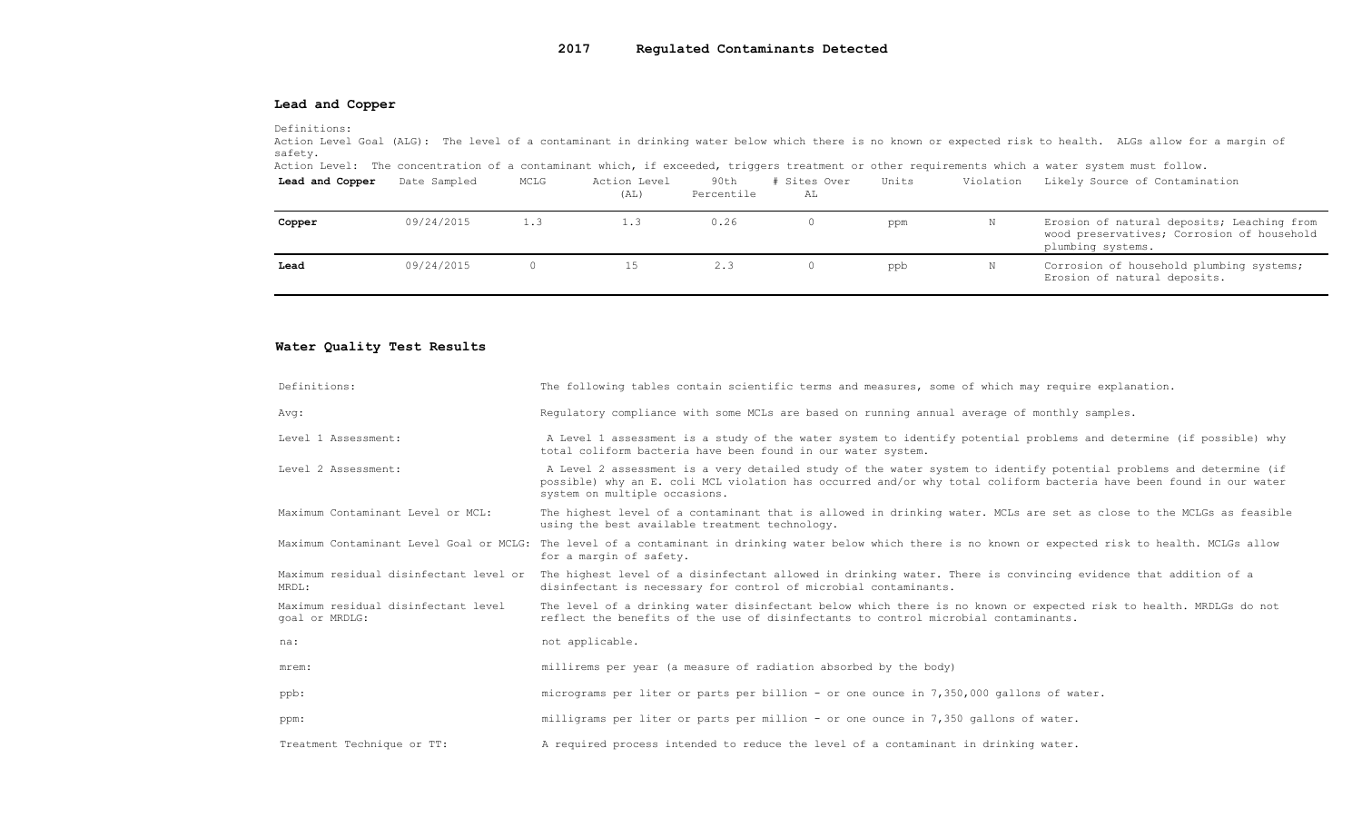## 2017 Regulated Contaminants Detected

### Lead and Copper

Definitions:

Action Level Goal (ALG): The level of a contaminant in drinking water below which there is no known or expected risk to health. ALGs allow for a margin of safety.

Action Level: The concentration of a contaminant which, if exceeded, triggers treatment or other requirements which a water system must follow.

| Lead and Copper | Date Sampled | MCLG | Action Level<br>(AL) | 90th<br>Percentile | # Sites Over<br>AL | Units | Violation | Likely Source of Contamination                                                                                |
|-----------------|--------------|------|----------------------|--------------------|--------------------|-------|-----------|---------------------------------------------------------------------------------------------------------------|
| Copper          | 09/24/2015   | 1.3  | 1.3                  | 0.26               |                    | ppm   |           | Erosion of natural deposits; Leaching from<br>wood preservatives; Corrosion of household<br>plumbing systems. |
| Lead            | 09/24/2015   |      | 15                   | 2.3                |                    | ppb   |           | Corrosion of household plumbing systems;<br>Erosion of natural deposits.                                      |

## Water Quality Test Results

| Definitions:                                          | The following tables contain scientific terms and measures, some of which may require explanation.                                                                                                                                                                         |
|-------------------------------------------------------|----------------------------------------------------------------------------------------------------------------------------------------------------------------------------------------------------------------------------------------------------------------------------|
| Avg:                                                  | Requlatory compliance with some MCLs are based on running annual average of monthly samples.                                                                                                                                                                               |
| Level 1 Assessment:                                   | A Level 1 assessment is a study of the water system to identify potential problems and determine (if possible) why<br>total coliform bacteria have been found in our water system.                                                                                         |
| Level 2 Assessment:                                   | A Level 2 assessment is a very detailed study of the water system to identify potential problems and determine (if<br>possible) why an E. coli MCL violation has occurred and/or why total coliform bacteria have been found in our water<br>system on multiple occasions. |
| Maximum Contaminant Level or MCL:                     | The highest level of a contaminant that is allowed in drinking water. MCLs are set as close to the MCLGs as feasible<br>using the best available treatment technology.                                                                                                     |
|                                                       | Maximum Contaminant Level Goal or MCLG: The level of a contaminant in drinking water below which there is no known or expected risk to health. MCLGs allow<br>for a margin of safety.                                                                                      |
| Maximum residual disinfectant level or<br>MRDL:       | The highest level of a disinfectant allowed in drinking water. There is convincing evidence that addition of a<br>disinfectant is necessary for control of microbial contaminants.                                                                                         |
| Maximum residual disinfectant level<br>goal or MRDLG: | The level of a drinking water disinfectant below which there is no known or expected risk to health. MRDLGs do not<br>reflect the benefits of the use of disinfectants to control microbial contaminants.                                                                  |
| na:                                                   | not applicable.                                                                                                                                                                                                                                                            |
| mrem:                                                 | millirems per year (a measure of radiation absorbed by the body)                                                                                                                                                                                                           |
| ppb:                                                  | micrograms per liter or parts per billion - or one ounce in $7,350,000$ gallons of water.                                                                                                                                                                                  |
| ppm:                                                  | milligrams per liter or parts per million - or one ounce in 7,350 gallons of water.                                                                                                                                                                                        |
| Treatment Technique or TT:                            | A required process intended to reduce the level of a contaminant in drinking water.                                                                                                                                                                                        |